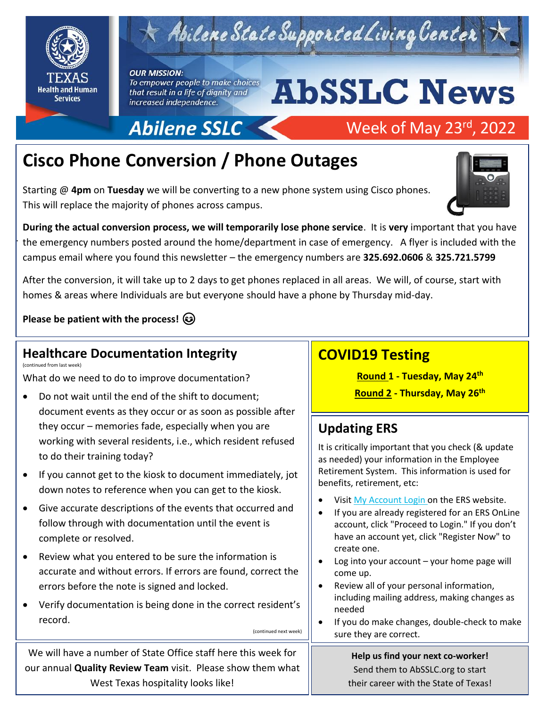

.

# $\tau$  Abilene State Supported Living Center

#### **OUR MISSION:** To empower people to make choices that result in a life of dignity and increased independence.

Abilene SSLC

# **AbSSLC News**

Week of May 23rd, 2022



# **Cisco Phone Conversion / Phone Outages**

Starting @ **4pm** on **Tuesday** we will be converting to a new phone system using Cisco phones. This will replace the majority of phones across campus.

**During the actual conversion process, we will temporarily lose phone service**. It is **very** important that you have the emergency numbers posted around the home/department in case of emergency. A flyer is included with the campus email where you found this newsletter – the emergency numbers are **325.692.0606** & **325.721.5799**

After the conversion, it will take up to 2 days to get phones replaced in all areas. We will, of course, start with homes & areas where Individuals are but everyone should have a phone by Thursday mid-day.

(continued next week)

**Please be patient with the process!** 

#### **Healthcare Documentation Integrity**  (continued from last week)

What do we need to do to improve documentation?

- Do not wait until the end of the shift to document; document events as they occur or as soon as possible after they occur – memories fade, especially when you are working with several residents, i.e., which resident refused to do their training today?
- If you cannot get to the kiosk to document immediately, jot down notes to reference when you can get to the kiosk.
- Give accurate descriptions of the events that occurred and follow through with documentation until the event is complete or resolved.
- Review what you entered to be sure the information is accurate and without errors. If errors are found, correct the errors before the note is signed and locked.
- Verify documentation is being done in the correct resident's record.

# **COVID19 Testing**

**Round 1 - Tuesday, May 24th**

**Round 2 - Thursday, May 26th**

# **Updating ERS**

It is critically important that you check (& update as needed) your information in the Employee Retirement System. This information is used for benefits, retirement, etc:

- Visit [My Account](https://ers.texas.gov/my-account-login) L[o](https://ers.texas.gov/my-account-login)gin on the ERS website.
- If you are already registered for an ERS OnLine account, click "Proceed to Login." If you don't have an account yet, click "Register Now" to create one.
- Log into your account your home page will come up.
- Review all of your personal information, including mailing address, making changes as needed
- If you do make changes, double-check to make sure they are correct.

#### **Help us find your next co-worker!** Send them to AbSSLC.org to start their career with the State of Texas!

We will have a number of State Office staff here this week for our annual **Quality Review Team** visit. Please show them what West Texas hospitality looks like!